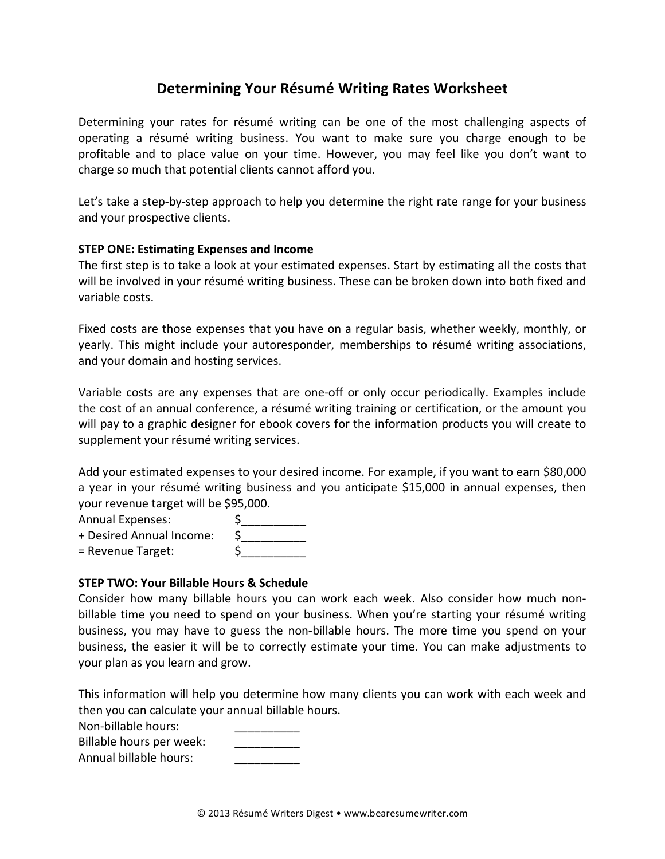# Determining Your Résumé Writing Rates Worksheet

Determining your rates for résumé writing can be one of the most challenging aspects of operating a résumé writing business. You want to make sure you charge enough to be profitable and to place value on your time. However, you may feel like you don't want to charge so much that potential clients cannot afford you.

Let's take a step-by-step approach to help you determine the right rate range for your business and your prospective clients.

### **STEP ONE: Estimating Expenses and Income**

The first step is to take a look at your estimated expenses. Start by estimating all the costs that will be involved in your résumé writing business. These can be broken down into both fixed and variable costs.

Fixed costs are those expenses that you have on a regular basis, whether weekly, monthly, or yearly. This might include your autoresponder, memberships to résumé writing associations, and your domain and hosting services.

Variable costs are any expenses that are one-off or only occur periodically. Examples include the cost of an annual conference, a résumé writing training or certification, or the amount you will pay to a graphic designer for ebook covers for the information products you will create to supplement your résumé writing services.

Add your estimated expenses to your desired income. For example, if you want to earn \$80,000 a year in your résumé writing business and you anticipate \$15,000 in annual expenses, then your revenue target will be \$95,000.

Annual Expenses:

+ Desired Annual Income: \$

 $=$  Revenue Target:  $\qquad \qquad \zeta$ 

### **STEP TWO: Your Billable Hours & Schedule**

Consider how many billable hours you can work each week. Also consider how much nonbillable time you need to spend on your business. When you're starting your résumé writing business, you may have to guess the non-billable hours. The more time you spend on your business, the easier it will be to correctly estimate your time. You can make adjustments to your plan as you learn and grow.

This information will help you determine how many clients you can work with each week and then you can calculate your annual billable hours.

Non-billable hours:

Billable hours per week:

Annual billable hours: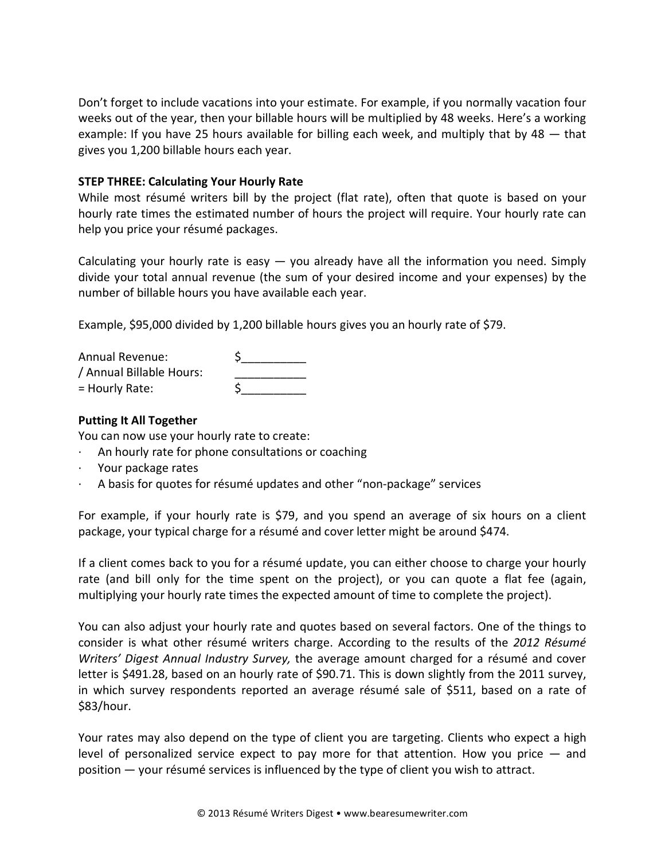Don't forget to include vacations into your estimate. For example, if you normally vacation four weeks out of the year, then your billable hours will be multiplied by 48 weeks. Here's a working example: If you have 25 hours available for billing each week, and multiply that by  $48 -$  that gives you 1,200 billable hours each year.

#### **STEP THREE: Calculating Your Hourly Rate**

While most résumé writers bill by the project (flat rate), often that quote is based on your hourly rate times the estimated number of hours the project will require. Your hourly rate can help you price your résumé packages.

Calculating your hourly rate is easy  $-$  you already have all the information you need. Simply divide your total annual revenue (the sum of your desired income and your expenses) by the number of billable hours you have available each year.

Example, \$95,000 divided by 1,200 billable hours gives you an hourly rate of \$79.

| <b>Annual Revenue:</b>   |  |
|--------------------------|--|
| / Annual Billable Hours: |  |
| $=$ Hourly Rate:         |  |

## **Putting It All Together**

You can now use your hourly rate to create:

- An hourly rate for phone consultations or coaching
- $\cdot$  Your package rates
- A basis for quotes for résumé updates and other "non-package" services

For example, if your hourly rate is \$79, and you spend an average of six hours on a client package, your typical charge for a résumé and cover letter might be around \$474.

If a client comes back to you for a résumé update, you can either choose to charge your hourly rate (and bill only for the time spent on the project), or you can quote a flat fee (again, multiplying your hourly rate times the expected amount of time to complete the project).

You can also adjust your hourly rate and quotes based on several factors. One of the things to consider is what other résumé writers charge. According to the results of the 2012 Résumé *Writers' Digest Annual Industry Survey,* the average amount charged for a résumé and cover letter is \$491.28, based on an hourly rate of \$90.71. This is down slightly from the 2011 survey, in which survey respondents reported an average résumé sale of \$511, based on a rate of \$83/hour.

Your rates may also depend on the type of client you are targeting. Clients who expect a high level of personalized service expect to pay more for that attention. How you price  $-$  and position — your résumé services is influenced by the type of client you wish to attract.